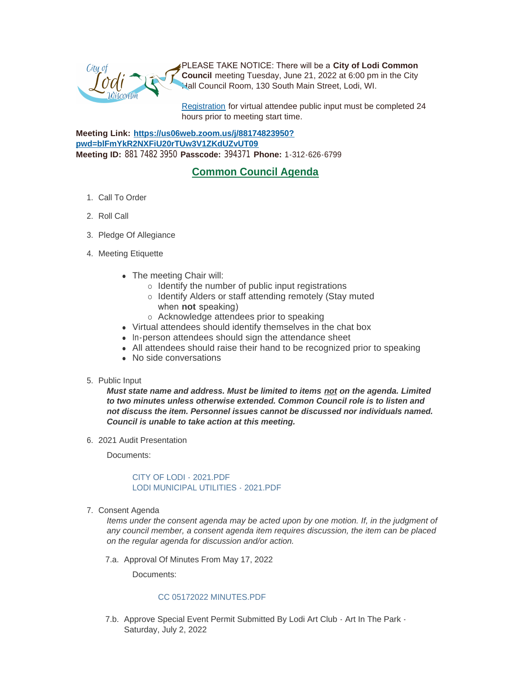PLEASE TAKE NOTICE: There will be a **City of Lodi Common Council** meeting Tuesday, June 21, 2022 at 6:00 pm in the City Hall Council Room, 130 South Main Street, Lodi, WI.

[Registration](https://www.cityoflodi.us/CivicAlerts.aspx?AID=467) for virtual attendee public input must be completed 24 hours prior to meeting start time.

**Meeting Link: [https://us06web.zoom.us/j/88174823950?](https://us06web.zoom.us/j/88174823950?pwd=blFmYkR2NXFiU20rTUw3V1ZKdUZvUT09) pwd=blFmYkR2NXFiU20rTUw3V1ZKdUZvUT09 Meeting ID:** 881 7482 3950 **Passcode:** 394371 **Phone:** 1-312-626-6799

# **Common Council Agenda**

- 1. Call To Order
- 2. Roll Call
- 3. Pledge Of Allegiance
- 4. Meeting Etiquette
	- The meeting Chair will:
		- $\circ$  Identify the number of public input registrations
		- o Identify Alders or staff attending remotely (Stay muted when **not** speaking)
		- o Acknowledge attendees prior to speaking
	- Virtual attendees should identify themselves in the chat box
	- In-person attendees should sign the attendance sheet
	- All attendees should raise their hand to be recognized prior to speaking
	- No side conversations
- 5. Public Input

*Must state name and address. Must be limited to items not on the agenda. Limited to two minutes unless otherwise extended. Common Council role is to listen and not discuss the item. Personnel issues cannot be discussed nor individuals named. Council is unable to take action at this meeting.*

2021 Audit Presentation 6.

Documents:

# [CITY OF LODI - 2021.PDF](http://www.cityoflodi.us/AgendaCenter/ViewFile/Item/15258?fileID=12137) [LODI MUNICIPAL UTILITIES - 2021.PDF](http://www.cityoflodi.us/AgendaCenter/ViewFile/Item/15258?fileID=12138)

7. Consent Agenda

*Items under the consent agenda may be acted upon by one motion. If, in the judgment of any council member, a consent agenda item requires discussion, the item can be placed on the regular agenda for discussion and/or action.*

7.a. Approval Of Minutes From May 17, 2022

Documents:

# [CC 05172022 MINUTES.PDF](http://www.cityoflodi.us/AgendaCenter/ViewFile/Item/15265?fileID=12146)

7.b. Approve Special Event Permit Submitted By Lodi Art Club - Art In The Park -Saturday, July 2, 2022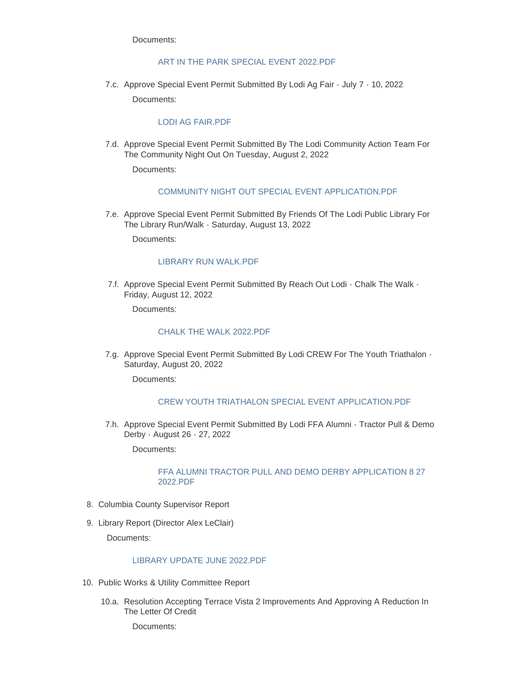Documents:

# [ART IN THE PARK SPECIAL EVENT 2022.PDF](http://www.cityoflodi.us/AgendaCenter/ViewFile/Item/15135?fileID=12038)

7.c. Approve Special Event Permit Submitted By Lodi Ag Fair - July 7 - 10, 2022

Documents:

# [LODI AG FAIR.PDF](http://www.cityoflodi.us/AgendaCenter/ViewFile/Item/15132?fileID=12035)

7.d. Approve Special Event Permit Submitted By The Lodi Community Action Team For The Community Night Out On Tuesday, August 2, 2022

Documents:

# [COMMUNITY NIGHT OUT SPECIAL EVENT APPLICATION.PDF](http://www.cityoflodi.us/AgendaCenter/ViewFile/Item/15181?fileID=12074)

7.e. Approve Special Event Permit Submitted By Friends Of The Lodi Public Library For The Library Run/Walk - Saturday, August 13, 2022

Documents:

# [LIBRARY RUN WALK.PDF](http://www.cityoflodi.us/AgendaCenter/ViewFile/Item/15177?fileID=12049)

7.f. Approve Special Event Permit Submitted By Reach Out Lodi - Chalk The Walk -Friday, August 12, 2022

Documents:

# [CHALK THE WALK 2022.PDF](http://www.cityoflodi.us/AgendaCenter/ViewFile/Item/15133?fileID=12036)

7.g. Approve Special Event Permit Submitted By Lodi CREW For The Youth Triathalon -Saturday, August 20, 2022

Documents:

# [CREW YOUTH TRIATHALON SPECIAL EVENT APPLICATION.PDF](http://www.cityoflodi.us/AgendaCenter/ViewFile/Item/15180?fileID=12073)

7.h. Approve Special Event Permit Submitted By Lodi FFA Alumni - Tractor Pull & Demo Derby - August 26 - 27, 2022

Documents:

#### [FFA ALUMNI TRACTOR PULL AND DEMO DERBY APPLICATION 8 27](http://www.cityoflodi.us/AgendaCenter/ViewFile/Item/15134?fileID=12037)  2022.PDF

- 8. Columbia County Supervisor Report
- 9. Library Report (Director Alex LeClair)

Documents:

# [LIBRARY UPDATE JUNE 2022.PDF](http://www.cityoflodi.us/AgendaCenter/ViewFile/Item/15267?fileID=12143)

- 10. Public Works & Utility Committee Report
	- 10.a. Resolution Accepting Terrace Vista 2 Improvements And Approving A Reduction In The Letter Of Credit

Documents: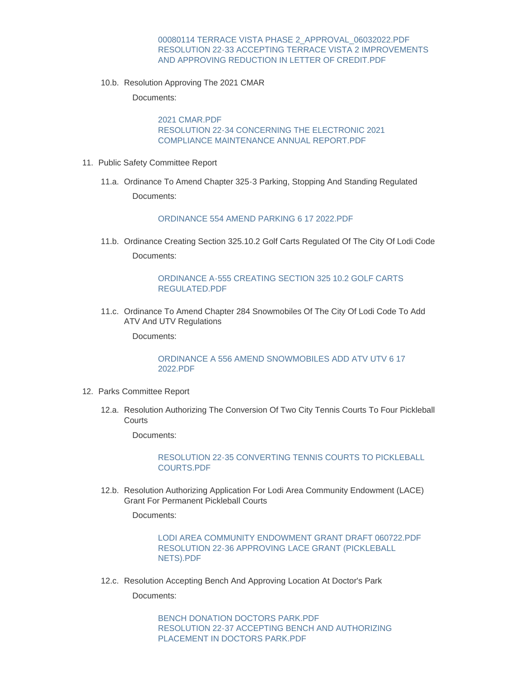#### [00080114 TERRACE VISTA PHASE 2\\_APPROVAL\\_06032022.PDF](http://www.cityoflodi.us/AgendaCenter/ViewFile/Item/15247?fileID=12176) [RESOLUTION 22-33 ACCEPTING TERRACE VISTA 2 IMPROVEMENTS](http://www.cityoflodi.us/AgendaCenter/ViewFile/Item/15247?fileID=12177)  AND APPROVING REDUCTION IN LETTER OF CREDIT.PDF

10.b. Resolution Approving The 2021 CMAR

Documents:

[2021 CMAR.PDF](http://www.cityoflodi.us/AgendaCenter/ViewFile/Item/15248?fileID=12145) [RESOLUTION 22-34 CONCERNING THE ELECTRONIC 2021](http://www.cityoflodi.us/AgendaCenter/ViewFile/Item/15248?fileID=12147)  COMPLIANCE MAINTENANCE ANNUAL REPORT.PDF

- 11. Public Safety Committee Report
	- 11.a. Ordinance To Amend Chapter 325-3 Parking, Stopping And Standing Regulated Documents:

[ORDINANCE 554 AMEND PARKING 6 17 2022.PDF](http://www.cityoflodi.us/AgendaCenter/ViewFile/Item/15244?fileID=12155)

11.b. Ordinance Creating Section 325.10.2 Golf Carts Regulated Of The City Of Lodi Code Documents:

# [ORDINANCE A-555 CREATING SECTION 325 10.2 GOLF CARTS](http://www.cityoflodi.us/AgendaCenter/ViewFile/Item/15245?fileID=12156)  REGULATED.PDF

11.c. Ordinance To Amend Chapter 284 Snowmobiles Of The City Of Lodi Code To Add ATV And UTV Regulations

Documents:

# [ORDINANCE A 556 AMEND SNOWMOBILES ADD ATV UTV 6 17](http://www.cityoflodi.us/AgendaCenter/ViewFile/Item/15246?fileID=12158)  2022.PDF

- 12. Parks Committee Report
	- 12.a. Resolution Authorizing The Conversion Of Two City Tennis Courts To Four Pickleball **Courts**

Documents:

[RESOLUTION 22-35 CONVERTING TENNIS COURTS TO PICKLEBALL](http://www.cityoflodi.us/AgendaCenter/ViewFile/Item/15242?fileID=12159)  COURTS.PDF

12.b. Resolution Authorizing Application For Lodi Area Community Endowment (LACE) Grant For Permanent Pickleball Courts

Documents:

[LODI AREA COMMUNITY ENDOWMENT GRANT DRAFT 060722.PDF](http://www.cityoflodi.us/AgendaCenter/ViewFile/Item/15077?fileID=12128) [RESOLUTION 22-36 APPROVING LACE GRANT \(PICKLEBALL](http://www.cityoflodi.us/AgendaCenter/ViewFile/Item/15077?fileID=12148)  NETS).PDF

12.c. Resolution Accepting Bench And Approving Location At Doctor's Park

Documents:

[BENCH DONATION DOCTORS PARK.PDF](http://www.cityoflodi.us/AgendaCenter/ViewFile/Item/15243?fileID=12160) [RESOLUTION 22-37 ACCEPTING BENCH AND AUTHORIZING](http://www.cityoflodi.us/AgendaCenter/ViewFile/Item/15243?fileID=12161)  PLACEMENT IN DOCTORS PARK.PDF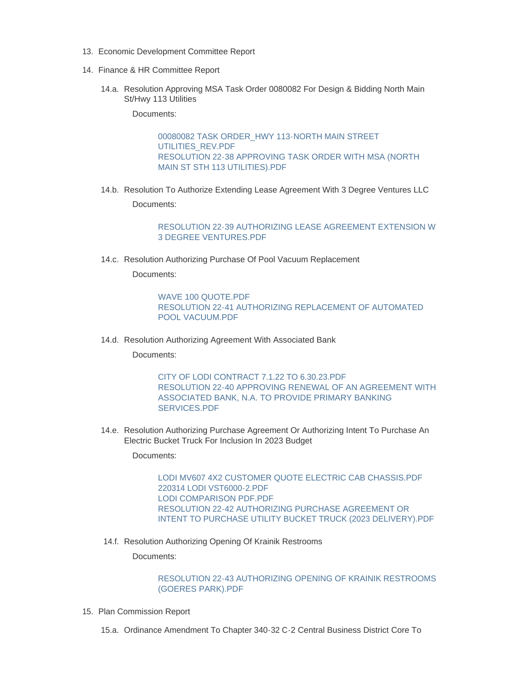- 13. Economic Development Committee Report
- 14. Finance & HR Committee Report
	- 14.a. Resolution Approving MSA Task Order 0080082 For Design & Bidding North Main St/Hwy 113 Utilities

Documents:

[00080082 TASK ORDER\\_HWY 113-NORTH MAIN STREET](http://www.cityoflodi.us/AgendaCenter/ViewFile/Item/15277?fileID=12154)  UTILITIES\_REV.PDF [RESOLUTION 22-38 APPROVING TASK ORDER WITH MSA \(NORTH](http://www.cityoflodi.us/AgendaCenter/ViewFile/Item/15277?fileID=12149)  MAIN ST STH 113 UTILITIES).PDF

14.b. Resolution To Authorize Extending Lease Agreement With 3 Degree Ventures LLC

Documents:

[RESOLUTION 22-39 AUTHORIZING LEASE AGREEMENT EXTENSION W](http://www.cityoflodi.us/AgendaCenter/ViewFile/Item/15278?fileID=12153)  3 DEGREE VENTURES.PDF

14.c. Resolution Authorizing Purchase Of Pool Vacuum Replacement

Documents:

[WAVE 100 QUOTE.PDF](http://www.cityoflodi.us/AgendaCenter/ViewFile/Item/15280?fileID=12144) [RESOLUTION 22-41 AUTHORIZING REPLACEMENT OF AUTOMATED](http://www.cityoflodi.us/AgendaCenter/ViewFile/Item/15280?fileID=12162)  POOL VACUUM.PDF

14.d. Resolution Authorizing Agreement With Associated Bank

Documents:

[CITY OF LODI CONTRACT 7.1.22 TO 6.30.23.PDF](http://www.cityoflodi.us/AgendaCenter/ViewFile/Item/15279?fileID=12151) [RESOLUTION 22-40 APPROVING RENEWAL OF AN AGREEMENT WITH](http://www.cityoflodi.us/AgendaCenter/ViewFile/Item/15279?fileID=12152)  ASSOCIATED BANK, N.A. TO PROVIDE PRIMARY BANKING SERVICES.PDF

14.e. Resolution Authorizing Purchase Agreement Or Authorizing Intent To Purchase An Electric Bucket Truck For Inclusion In 2023 Budget

Documents:

[LODI MV607 4X2 CUSTOMER QUOTE ELECTRIC CAB CHASSIS.PDF](http://www.cityoflodi.us/AgendaCenter/ViewFile/Item/15281?fileID=12165) [220314 LODI VST6000-2.PDF](http://www.cityoflodi.us/AgendaCenter/ViewFile/Item/15281?fileID=12164) [LODI COMPARISON PDF.PDF](http://www.cityoflodi.us/AgendaCenter/ViewFile/Item/15281?fileID=12163) RESOLUTION 22-42 AUTHORIZING PURCHASE AGREEMENT OR [INTENT TO PURCHASE UTILITY BUCKET TRUCK \(2023 DELIVERY\).PDF](http://www.cityoflodi.us/AgendaCenter/ViewFile/Item/15281?fileID=12170)

14.f. Resolution Authorizing Opening Of Krainik Restrooms

Documents:

[RESOLUTION 22-43 AUTHORIZING OPENING OF KRAINIK RESTROOMS](http://www.cityoflodi.us/AgendaCenter/ViewFile/Item/15282?fileID=12169)  (GOERES PARK).PDF

15. Plan Commission Report

15.a. Ordinance Amendment To Chapter 340-32 C-2 Central Business District Core To